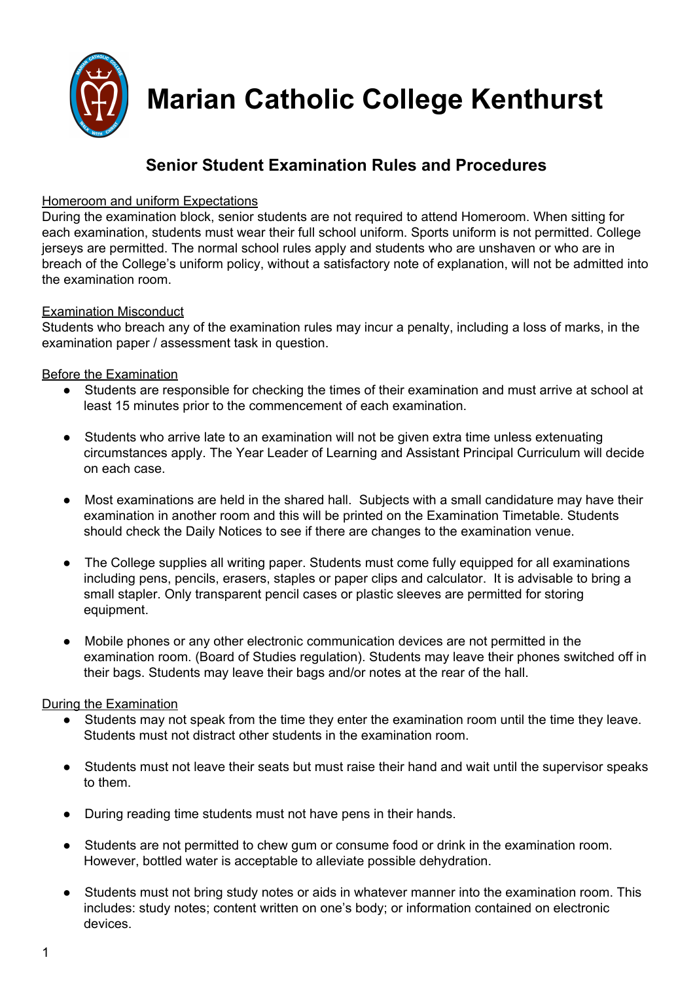

**Marian Catholic College Kenthurst**

# **Senior Student Examination Rules and Procedures**

# Homeroom and uniform Expectations

During the examination block, senior students are not required to attend Homeroom. When sitting for each examination, students must wear their full school uniform. Sports uniform is not permitted. College jerseys are permitted. The normal school rules apply and students who are unshaven or who are in breach of the College's uniform policy, without a satisfactory note of explanation, will not be admitted into the examination room.

#### Examination Misconduct

Students who breach any of the examination rules may incur a penalty, including a loss of marks, in the examination paper / assessment task in question.

## Before the Examination

- **●** Students are responsible for checking the times of their examination and must arrive at school at least 15 minutes prior to the commencement of each examination.
- **●** Students who arrive late to an examination will not be given extra time unless extenuating circumstances apply. The Year Leader of Learning and Assistant Principal Curriculum will decide on each case.
- Most examinations are held in the shared hall. Subjects with a small candidature may have their examination in another room and this will be printed on the Examination Timetable. Students should check the Daily Notices to see if there are changes to the examination venue.
- **●** The College supplies all writing paper. Students must come fully equipped for all examinations including pens, pencils, erasers, staples or paper clips and calculator. It is advisable to bring a small stapler. Only transparent pencil cases or plastic sleeves are permitted for storing equipment.
- **●** Mobile phones or any other electronic communication devices are not permitted in the examination room. (Board of Studies regulation). Students may leave their phones switched off in their bags. Students may leave their bags and/or notes at the rear of the hall.

# During the Examination

- **●** Students may not speak from the time they enter the examination room until the time they leave. Students must not distract other students in the examination room.
- **●** Students must not leave their seats but must raise their hand and wait until the supervisor speaks to them.
- **●** During reading time students must not have pens in their hands.
- **●** Students are not permitted to chew gum or consume food or drink in the examination room. However, bottled water is acceptable to alleviate possible dehydration.
- **●** Students must not bring study notes or aids in whatever manner into the examination room. This includes: study notes; content written on one's body; or information contained on electronic devices.